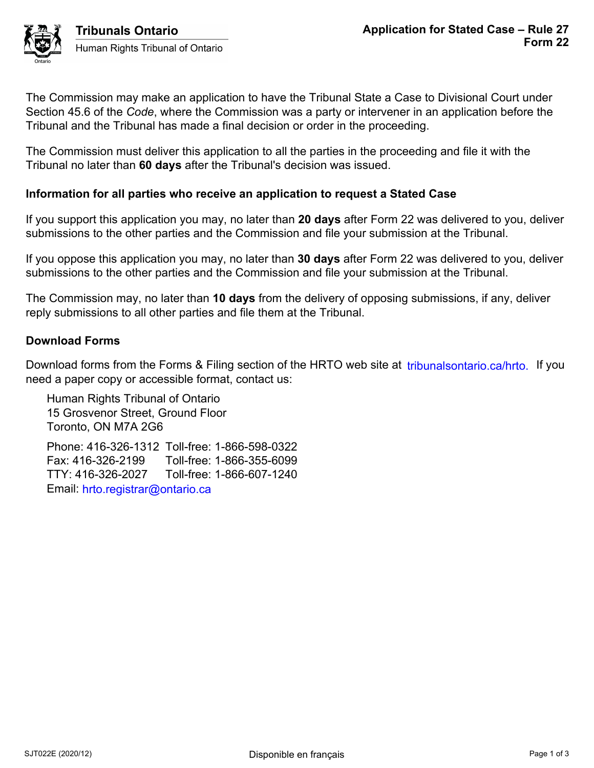The Commission may make an application to have the Tribunal State a Case to Divisional Court under Section 45.6 of the *Code*, where the Commission was a party or intervener in an application before the Tribunal and the Tribunal has made a final decision or order in the proceeding.

The Commission must deliver this application to all the parties in the proceeding and file it with the Tribunal no later than **60 days** after the Tribunal's decision was issued.

## **Information for all parties who receive an application to request a Stated Case**

If you support this application you may, no later than **20 days** after Form 22 was delivered to you, deliver submissions to the other parties and the Commission and file your submission at the Tribunal.

If you oppose this application you may, no later than **30 days** after Form 22 was delivered to you, deliver submissions to the other parties and the Commission and file your submission at the Tribunal.

The Commission may, no later than **10 days** from the delivery of opposing submissions, if any, deliver reply submissions to all other parties and file them at the Tribunal.

## **Download Forms**

Download forms from the Forms & Filing section of the HRTO web site at *tribunalsontario.ca/hrto.* If you need a paper copy or accessible format, contact us: iorms for the Forms & Filing section of the HRTO web site at tribunalsontario.ca/hrto. If you<br>
er copy or accessible format, contact us:<br>
syence Street, Ground Floor<br>
2, ON M7A 2G6<br>
4.16-326-1312 Toll-free: 1-866-598-0322<br>

Human Rights Tribunal of Ontario 15 Grosvenor Street, Ground Floor Toronto, ON M7A 2G6

Phone: 416-326-1312 Toll-free: 1-866-598-0322 Fax: 416-326-2199 Toll-free: 1-866-355-6099 TTY: 416-326-2027 Toll-free: 1-866-607-1240 Email: hrto.registrar@ontario.ca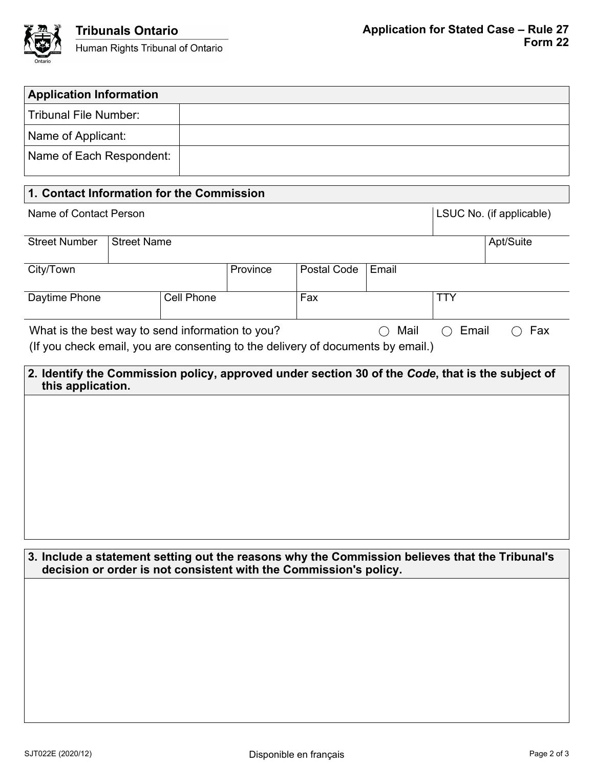

| <b>Application Information</b>                                                                                                                                      |  |          |             |       |                                                     |            |                                                    |  |
|---------------------------------------------------------------------------------------------------------------------------------------------------------------------|--|----------|-------------|-------|-----------------------------------------------------|------------|----------------------------------------------------|--|
| <b>Tribunal File Number:</b>                                                                                                                                        |  |          |             |       |                                                     |            |                                                    |  |
| Name of Applicant:                                                                                                                                                  |  |          |             |       |                                                     |            |                                                    |  |
| Name of Each Respondent:                                                                                                                                            |  |          |             |       |                                                     |            |                                                    |  |
|                                                                                                                                                                     |  |          |             |       |                                                     |            |                                                    |  |
| 1. Contact Information for the Commission                                                                                                                           |  |          |             |       |                                                     |            |                                                    |  |
| Name of Contact Person                                                                                                                                              |  |          |             |       |                                                     |            | LSUC No. (if applicable)                           |  |
| <b>Street Number</b><br><b>Street Name</b>                                                                                                                          |  |          |             |       |                                                     | Apt/Suite  |                                                    |  |
| City/Town                                                                                                                                                           |  | Province | Postal Code | Email |                                                     |            |                                                    |  |
| Cell Phone<br>Daytime Phone                                                                                                                                         |  |          | Fax         |       |                                                     | <b>TTY</b> |                                                    |  |
| What is the best way to send information to you?                                                                                                                    |  |          |             |       | Mail<br>$\left(\begin{array}{c} \end{array}\right)$ | Email      | Fax<br>$\left(\begin{array}{c} \end{array}\right)$ |  |
| (If you check email, you are consenting to the delivery of documents by email.)                                                                                     |  |          |             |       |                                                     |            |                                                    |  |
| 2. Identify the Commission policy, approved under section 30 of the Code, that is the subject of<br>this application.                                               |  |          |             |       |                                                     |            |                                                    |  |
|                                                                                                                                                                     |  |          |             |       |                                                     |            |                                                    |  |
| 3. Include a statement setting out the reasons why the Commission believes that the Tribunal's<br>decision or order is not consistent with the Commission's policy. |  |          |             |       |                                                     |            |                                                    |  |
|                                                                                                                                                                     |  |          |             |       |                                                     |            |                                                    |  |